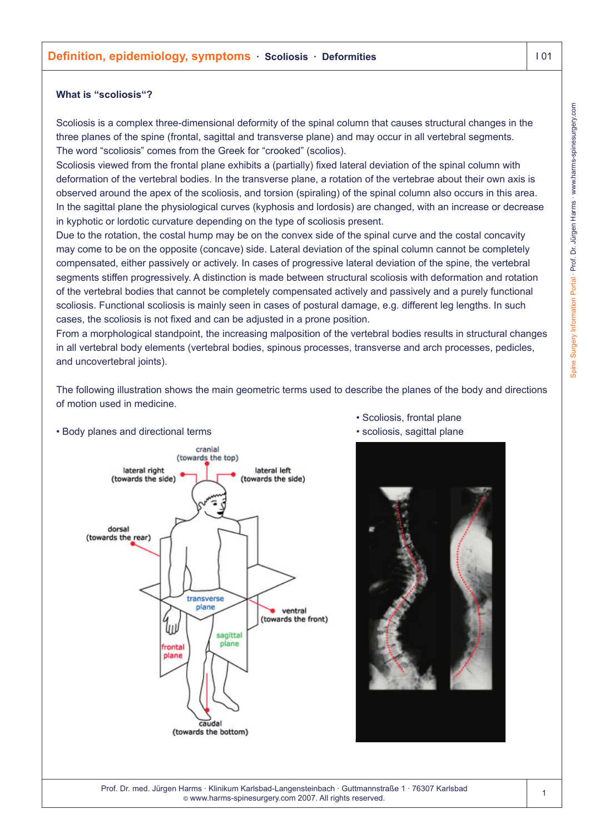### **What is "scoliosis"?**

Scoliosis is a complex three-dimensional deformity of the spinal column that causes structural changes in the three planes of the spine (frontal, sagittal and transverse plane) and may occur in all vertebral segments. The word "scoliosis" comes from the Greek for "crooked" (scolios).

Scoliosis viewed from the frontal plane exhibits a (partially) fixed lateral deviation of the spinal column with deformation of the vertebral bodies. In the transverse plane, a rotation of the vertebrae about their own axis is observed around the apex of the scoliosis, and torsion (spiraling) of the spinal column also occurs in this area. In the sagittal plane the physiological curves (kyphosis and lordosis) are changed, with an increase or decrease in kyphotic or lordotic curvature depending on the type of scoliosis present.

Due to the rotation, the costal hump may be on the convex side of the spinal curve and the costal concavity may come to be on the opposite (concave) side. Lateral deviation of the spinal column cannot be completely compensated, either passively or actively. In cases of progressive lateral deviation of the spine, the vertebral segments stiffen progressively. A distinction is made between structural scoliosis with deformation and rotation of the vertebral bodies that cannot be completely compensated actively and passively and a purely functional scoliosis. Functional scoliosis is mainly seen in cases of postural damage, e.g. different leg lengths. In such cases, the scoliosis is not fixed and can be adjusted in a prone position.

From a morphological standpoint, the increasing malposition of the vertebral bodies results in structural changes in all vertebral body elements (vertebral bodies, spinous processes, transverse and arch processes, pedicles, and uncovertebral joints).

The following illustration shows the main geometric terms used to describe the planes of the body and directions of motion used in medicine.



• Body planes and directional terms

- Scoliosis, frontal plane
- scoliosis, sagittal plane



Prof. Dr. med. Jürgen Harms · Klinikum Karlsbad-Langensteinbach · Guttmannstraße 1 · 76307 Karlsbad © www.harms-spinesurgery.com 2007. All rights reserved.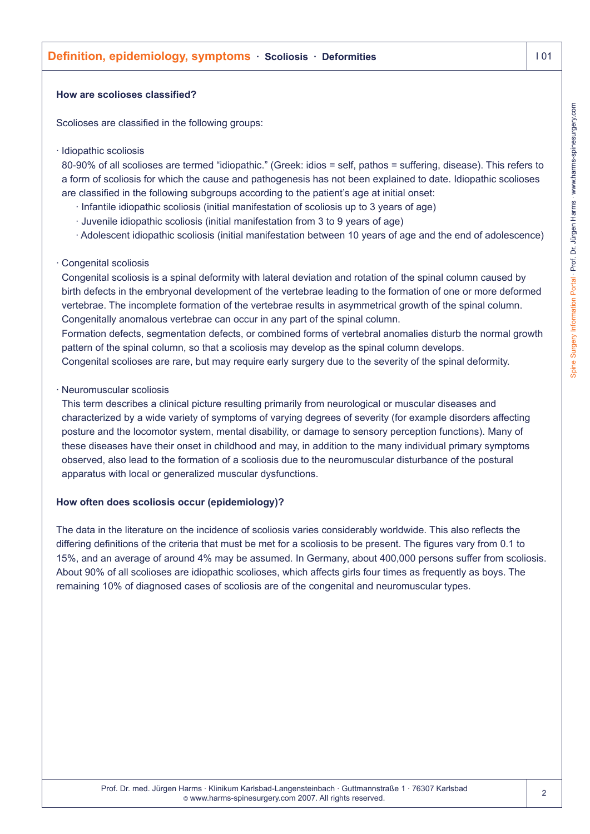## **Definition, epidemiology, symptoms** · Scoliosis · Deformities **I 201** 101

#### **How are scolioses classified?**

Scolioses are classified in the following groups:

#### · Idiopathic scoliosis

80-90% of all scolioses are termed "idiopathic." (Greek: idios = self, pathos = suffering, disease). This refers to a form of scoliosis for which the cause and pathogenesis has not been explained to date. Idiopathic scolioses are classified in the following subgroups according to the patient's age at initial onset:

- · Infantile idiopathic scoliosis (initial manifestation of scoliosis up to 3 years of age)
- · Juvenile idiopathic scoliosis (initial manifestation from 3 to 9 years of age)
- · Adolescent idiopathic scoliosis (initial manifestation between 10 years of age and the end of adolescence)

### · Congenital scoliosis

Congenital scoliosis is a spinal deformity with lateral deviation and rotation of the spinal column caused by birth defects in the embryonal development of the vertebrae leading to the formation of one or more deformed vertebrae. The incomplete formation of the vertebrae results in asymmetrical growth of the spinal column. Congenitally anomalous vertebrae can occur in any part of the spinal column.

Formation defects, segmentation defects, or combined forms of vertebral anomalies disturb the normal growth pattern of the spinal column, so that a scoliosis may develop as the spinal column develops.

Congenital scolioses are rare, but may require early surgery due to the severity of the spinal deformity.

### · Neuromuscular scoliosis

This term describes a clinical picture resulting primarily from neurological or muscular diseases and characterized by a wide variety of symptoms of varying degrees of severity (for example disorders affecting posture and the locomotor system, mental disability, or damage to sensory perception functions). Many of these diseases have their onset in childhood and may, in addition to the many individual primary symptoms observed, also lead to the formation of a scoliosis due to the neuromuscular disturbance of the postural apparatus with local or generalized muscular dysfunctions.

## **How often does scoliosis occur (epidemiology)?**

The data in the literature on the incidence of scoliosis varies considerably worldwide. This also reflects the differing definitions of the criteria that must be met for a scoliosis to be present. The figures vary from 0.1 to 15%, and an average of around 4% may be assumed. In Germany, about 400,000 persons suffer from scoliosis. About 90% of all scolioses are idiopathic scolioses, which affects girls four times as frequently as boys. The remaining 10% of diagnosed cases of scoliosis are of the congenital and neuromuscular types.

 $\overline{2}$